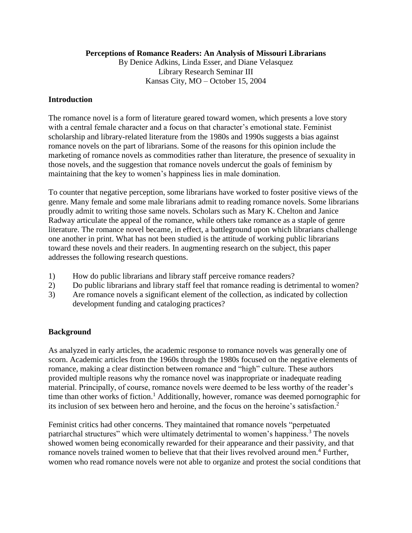### **Perceptions of Romance Readers: An Analysis of Missouri Librarians**

By Denice Adkins, Linda Esser, and Diane Velasquez Library Research Seminar III Kansas City, MO – October 15, 2004

## **Introduction**

The romance novel is a form of literature geared toward women, which presents a love story with a central female character and a focus on that character's emotional state. Feminist scholarship and library-related literature from the 1980s and 1990s suggests a bias against romance novels on the part of librarians. Some of the reasons for this opinion include the marketing of romance novels as commodities rather than literature, the presence of sexuality in those novels, and the suggestion that romance novels undercut the goals of feminism by maintaining that the key to women's happiness lies in male domination.

To counter that negative perception, some librarians have worked to foster positive views of the genre. Many female and some male librarians admit to reading romance novels. Some librarians proudly admit to writing those same novels. Scholars such as Mary K. Chelton and Janice Radway articulate the appeal of the romance, while others take romance as a staple of genre literature. The romance novel became, in effect, a battleground upon which librarians challenge one another in print. What has not been studied is the attitude of working public librarians toward these novels and their readers. In augmenting research on the subject, this paper addresses the following research questions.

- 1) How do public librarians and library staff perceive romance readers?
- 2) Do public librarians and library staff feel that romance reading is detrimental to women?
- 3) Are romance novels a significant element of the collection, as indicated by collection development funding and cataloging practices?

# **Background**

As analyzed in early articles, the academic response to romance novels was generally one of scorn. Academic articles from the 1960s through the 1980s focused on the negative elements of romance, making a clear distinction between romance and "high" culture. These authors provided multiple reasons why the romance novel was inappropriate or inadequate reading material. Principally, of course, romance novels were deemed to be less worthy of the reader's time than other works of fiction.<sup>1</sup> Additionally, however, romance was deemed pornographic for its inclusion of sex between hero and heroine, and the focus on the heroine's satisfaction.<sup>2</sup>

Feminist critics had other concerns. They maintained that romance novels "perpetuated patriarchal structures" which were ultimately detrimental to women's happiness.<sup>3</sup> The novels showed women being economically rewarded for their appearance and their passivity, and that romance novels trained women to believe that that their lives revolved around men.<sup>4</sup> Further, women who read romance novels were not able to organize and protest the social conditions that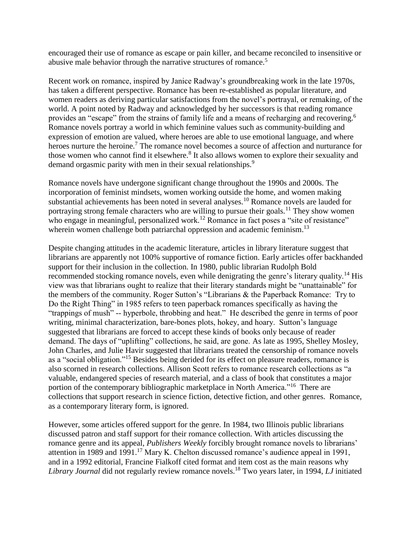encouraged their use of romance as escape or pain killer, and became reconciled to insensitive or abusive male behavior through the narrative structures of romance.<sup>5</sup>

Recent work on romance, inspired by Janice Radway's groundbreaking work in the late 1970s, has taken a different perspective. Romance has been re-established as popular literature, and women readers as deriving particular satisfactions from the novel's portrayal, or remaking, of the world. A point noted by Radway and acknowledged by her successors is that reading romance provides an "escape" from the strains of family life and a means of recharging and recovering.<sup>6</sup> Romance novels portray a world in which feminine values such as community-building and expression of emotion are valued, where heroes are able to use emotional language, and where heroes nurture the heroine.<sup>7</sup> The romance novel becomes a source of affection and nurturance for those women who cannot find it elsewhere.<sup>8</sup> It also allows women to explore their sexuality and demand orgasmic parity with men in their sexual relationships.<sup>9</sup>

Romance novels have undergone significant change throughout the 1990s and 2000s. The incorporation of feminist mindsets, women working outside the home, and women making substantial achievements has been noted in several analyses.<sup>10</sup> Romance novels are lauded for portraying strong female characters who are willing to pursue their goals.<sup>11</sup> They show women who engage in meaningful, personalized work.<sup>12</sup> Romance in fact poses a "site of resistance" wherein women challenge both patriarchal oppression and academic feminism.<sup>13</sup>

Despite changing attitudes in the academic literature, articles in library literature suggest that librarians are apparently not 100% supportive of romance fiction. Early articles offer backhanded support for their inclusion in the collection. In 1980, public librarian Rudolph Bold recommended stocking romance novels, even while denigrating the genre's literary quality.<sup>14</sup> His view was that librarians ought to realize that their literary standards might be "unattainable" for the members of the community. Roger Sutton's "Librarians & the Paperback Romance: Try to Do the Right Thing" in 1985 refers to teen paperback romances specifically as having the "trappings of mush" -- hyperbole, throbbing and heat." He described the genre in terms of poor writing, minimal characterization, bare-bones plots, hokey, and hoary. Sutton's language suggested that librarians are forced to accept these kinds of books only because of reader demand. The days of "uplifting" collections, he said, are gone. As late as 1995, Shelley Mosley, John Charles, and Julie Havir suggested that librarians treated the censorship of romance novels as a "social obligation."<sup>15</sup> Besides being derided for its effect on pleasure readers, romance is also scorned in research collections. Allison Scott refers to romance research collections as "a valuable, endangered species of research material, and a class of book that constitutes a major portion of the contemporary bibliographic marketplace in North America."<sup>16</sup> There are collections that support research in science fiction, detective fiction, and other genres. Romance, as a contemporary literary form, is ignored.

However, some articles offered support for the genre. In 1984, two Illinois public librarians discussed patron and staff support for their romance collection. With articles discussing the romance genre and its appeal, *Publishers Weekly* forcibly brought romance novels to librarians' attention in 1989 and 1991.<sup>17</sup> Mary K. Chelton discussed romance's audience appeal in 1991, and in a 1992 editorial, Francine Fialkoff cited format and item cost as the main reasons why *Library Journal* did not regularly review romance novels.<sup>18</sup> Two years later, in 1994, *LJ* initiated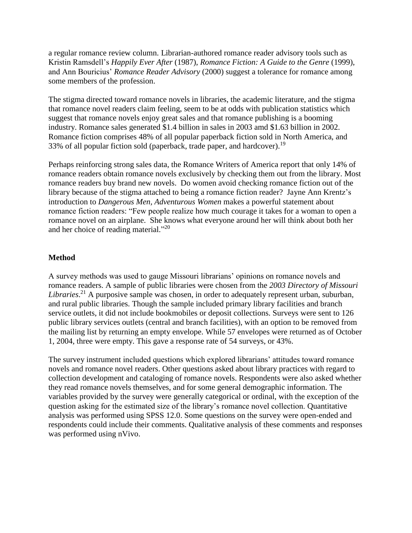a regular romance review column. Librarian-authored romance reader advisory tools such as Kristin Ramsdell's *Happily Ever After* (1987), *Romance Fiction: A Guide to the Genre* (1999), and Ann Bouricius' *Romance Reader Advisory* (2000) suggest a tolerance for romance among some members of the profession.

The stigma directed toward romance novels in libraries, the academic literature, and the stigma that romance novel readers claim feeling, seem to be at odds with publication statistics which suggest that romance novels enjoy great sales and that romance publishing is a booming industry. Romance sales generated \$1.4 billion in sales in 2003 amd \$1.63 billion in 2002. Romance fiction comprises 48% of all popular paperback fiction sold in North America, and 33% of all popular fiction sold (paperback, trade paper, and hardcover).<sup>19</sup>

Perhaps reinforcing strong sales data, the Romance Writers of America report that only 14% of romance readers obtain romance novels exclusively by checking them out from the library. Most romance readers buy brand new novels. Do women avoid checking romance fiction out of the library because of the stigma attached to being a romance fiction reader? Jayne Ann Krentz's introduction to *Dangerous Men, Adventurous Women* makes a powerful statement about romance fiction readers: "Few people realize how much courage it takes for a woman to open a romance novel on an airplane. She knows what everyone around her will think about both her and her choice of reading material."<sup>20</sup>

# **Method**

A survey methods was used to gauge Missouri librarians' opinions on romance novels and romance readers. A sample of public libraries were chosen from the *2003 Directory of Missouri Libraries*. <sup>21</sup> A purposive sample was chosen, in order to adequately represent urban, suburban, and rural public libraries. Though the sample included primary library facilities and branch service outlets, it did not include bookmobiles or deposit collections. Surveys were sent to 126 public library services outlets (central and branch facilities), with an option to be removed from the mailing list by returning an empty envelope. While 57 envelopes were returned as of October 1, 2004, three were empty. This gave a response rate of 54 surveys, or 43%.

The survey instrument included questions which explored librarians' attitudes toward romance novels and romance novel readers. Other questions asked about library practices with regard to collection development and cataloging of romance novels. Respondents were also asked whether they read romance novels themselves, and for some general demographic information. The variables provided by the survey were generally categorical or ordinal, with the exception of the question asking for the estimated size of the library's romance novel collection. Quantitative analysis was performed using SPSS 12.0. Some questions on the survey were open-ended and respondents could include their comments. Qualitative analysis of these comments and responses was performed using nVivo.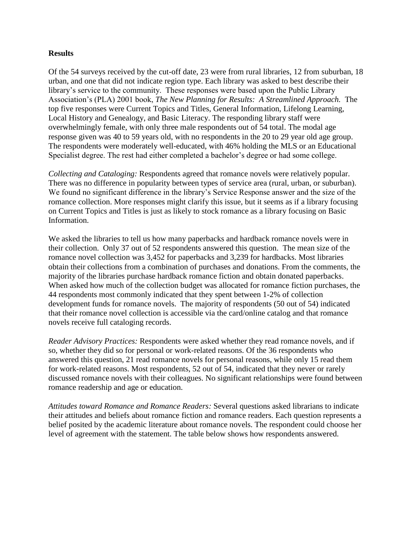#### **Results**

Of the 54 surveys received by the cut-off date, 23 were from rural libraries, 12 from suburban, 18 urban, and one that did not indicate region type. Each library was asked to best describe their library's service to the community. These responses were based upon the Public Library Association's (PLA) 2001 book, *The New Planning for Results: A Streamlined Approach.* The top five responses were Current Topics and Titles, General Information, Lifelong Learning, Local History and Genealogy, and Basic Literacy. The responding library staff were overwhelmingly female, with only three male respondents out of 54 total. The modal age response given was 40 to 59 years old, with no respondents in the 20 to 29 year old age group. The respondents were moderately well-educated, with 46% holding the MLS or an Educational Specialist degree. The rest had either completed a bachelor's degree or had some college.

*Collecting and Cataloging:* Respondents agreed that romance novels were relatively popular. There was no difference in popularity between types of service area (rural, urban, or suburban). We found no significant difference in the library's Service Response answer and the size of the romance collection. More responses might clarify this issue, but it seems as if a library focusing on Current Topics and Titles is just as likely to stock romance as a library focusing on Basic Information.

We asked the libraries to tell us how many paperbacks and hardback romance novels were in their collection. Only 37 out of 52 respondents answered this question. The mean size of the romance novel collection was 3,452 for paperbacks and 3,239 for hardbacks. Most libraries obtain their collections from a combination of purchases and donations. From the comments, the majority of the libraries purchase hardback romance fiction and obtain donated paperbacks. When asked how much of the collection budget was allocated for romance fiction purchases, the 44 respondents most commonly indicated that they spent between 1-2% of collection development funds for romance novels. The majority of respondents (50 out of 54) indicated that their romance novel collection is accessible via the card/online catalog and that romance novels receive full cataloging records.

*Reader Advisory Practices:* Respondents were asked whether they read romance novels, and if so, whether they did so for personal or work-related reasons. Of the 36 respondents who answered this question, 21 read romance novels for personal reasons, while only 15 read them for work-related reasons. Most respondents, 52 out of 54, indicated that they never or rarely discussed romance novels with their colleagues. No significant relationships were found between romance readership and age or education.

*Attitudes toward Romance and Romance Readers:* Several questions asked librarians to indicate their attitudes and beliefs about romance fiction and romance readers. Each question represents a belief posited by the academic literature about romance novels. The respondent could choose her level of agreement with the statement. The table below shows how respondents answered.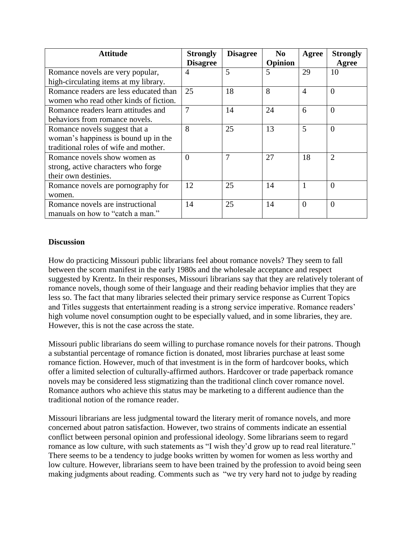| <b>Attitude</b>                        | <b>Strongly</b> | <b>Disagree</b> | N <sub>0</sub> | Agree          | <b>Strongly</b> |
|----------------------------------------|-----------------|-----------------|----------------|----------------|-----------------|
|                                        | <b>Disagree</b> |                 | Opinion        |                | Agree           |
| Romance novels are very popular,       | 4               | 5               | 5              | 29             | 10              |
| high-circulating items at my library.  |                 |                 |                |                |                 |
| Romance readers are less educated than | 25              | 18              | 8              | $\overline{4}$ | $\theta$        |
| women who read other kinds of fiction. |                 |                 |                |                |                 |
| Romance readers learn attitudes and    | 7               | 14              | 24             | 6              | $\Omega$        |
| behaviors from romance novels.         |                 |                 |                |                |                 |
| Romance novels suggest that a          | 8               | 25              | 13             | 5              | $\Omega$        |
| woman's happiness is bound up in the   |                 |                 |                |                |                 |
| traditional roles of wife and mother.  |                 |                 |                |                |                 |
| Romance novels show women as           | $\theta$        | $\overline{7}$  | 27             | 18             | $\overline{2}$  |
| strong, active characters who forge    |                 |                 |                |                |                 |
| their own destinies.                   |                 |                 |                |                |                 |
| Romance novels are pornography for     | 12              | 25              | 14             |                | $\Omega$        |
| women.                                 |                 |                 |                |                |                 |
| Romance novels are instructional       | 14              | 25              | 14             | $\Omega$       | $\Omega$        |
| manuals on how to "catch a man."       |                 |                 |                |                |                 |

## **Discussion**

How do practicing Missouri public librarians feel about romance novels? They seem to fall between the scorn manifest in the early 1980s and the wholesale acceptance and respect suggested by Krentz. In their responses, Missouri librarians say that they are relatively tolerant of romance novels, though some of their language and their reading behavior implies that they are less so. The fact that many libraries selected their primary service response as Current Topics and Titles suggests that entertainment reading is a strong service imperative. Romance readers' high volume novel consumption ought to be especially valued, and in some libraries, they are. However, this is not the case across the state.

Missouri public librarians do seem willing to purchase romance novels for their patrons. Though a substantial percentage of romance fiction is donated, most libraries purchase at least some romance fiction. However, much of that investment is in the form of hardcover books, which offer a limited selection of culturally-affirmed authors. Hardcover or trade paperback romance novels may be considered less stigmatizing than the traditional clinch cover romance novel. Romance authors who achieve this status may be marketing to a different audience than the traditional notion of the romance reader.

Missouri librarians are less judgmental toward the literary merit of romance novels, and more concerned about patron satisfaction. However, two strains of comments indicate an essential conflict between personal opinion and professional ideology. Some librarians seem to regard romance as low culture, with such statements as "I wish they'd grow up to read real literature." There seems to be a tendency to judge books written by women for women as less worthy and low culture. However, librarians seem to have been trained by the profession to avoid being seen making judgments about reading. Comments such as "we try very hard not to judge by reading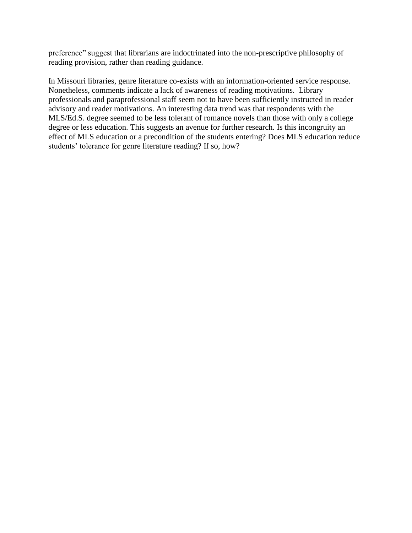preference" suggest that librarians are indoctrinated into the non-prescriptive philosophy of reading provision, rather than reading guidance.

In Missouri libraries, genre literature co-exists with an information-oriented service response. Nonetheless, comments indicate a lack of awareness of reading motivations. Library professionals and paraprofessional staff seem not to have been sufficiently instructed in reader advisory and reader motivations. An interesting data trend was that respondents with the MLS/Ed.S. degree seemed to be less tolerant of romance novels than those with only a college degree or less education. This suggests an avenue for further research. Is this incongruity an effect of MLS education or a precondition of the students entering? Does MLS education reduce students' tolerance for genre literature reading? If so, how?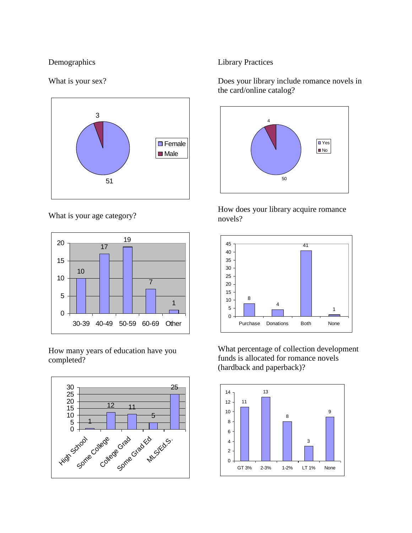## Demographics

#### What is your sex?



What is your age category?



How many years of education have you completed?



### Library Practices

Does your library include romance novels in the card/online catalog?



How does your library acquire romance novels?



What percentage of collection development funds is allocated for romance novels (hardback and paperback)?

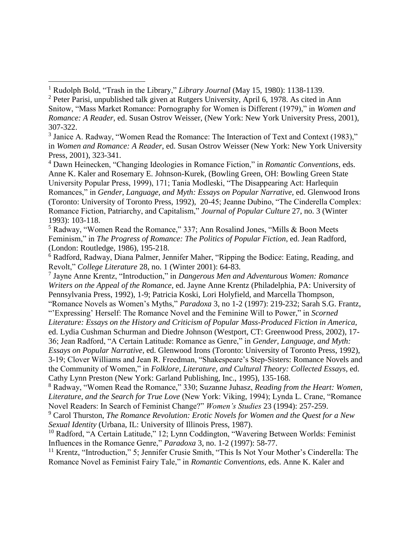$\overline{a}$ 

<sup>4</sup> Dawn Heinecken, "Changing Ideologies in Romance Fiction," in *Romantic Conventions*, eds. Anne K. Kaler and Rosemary E. Johnson-Kurek, (Bowling Green, OH: Bowling Green State University Popular Press, 1999), 171; Tania Modleski, "The Disappearing Act: Harlequin Romances," in *Gender, Language, and Myth: Essays on Popular Narrative*, ed. Glenwood Irons (Toronto: University of Toronto Press, 1992), 20-45; Jeanne Dubino, "The Cinderella Complex: Romance Fiction, Patriarchy, and Capitalism," *Journal of Popular Culture* 27, no. 3 (Winter 1993): 103-118.

<sup>5</sup> Radway, "Women Read the Romance," 337; Ann Rosalind Jones, "Mills & Boon Meets Feminism," in *The Progress of Romance: The Politics of Popular Fiction*, ed. Jean Radford, (London: Routledge, 1986), 195-218.

<sup>6</sup> Radford, Radway, Diana Palmer, Jennifer Maher, "Ripping the Bodice: Eating, Reading, and Revolt," *College Literature* 28, no. 1 (Winter 2001): 64-83.

7 Jayne Anne Krentz, "Introduction," in *Dangerous Men and Adventurous Women: Romance Writers on the Appeal of the Romance*, ed. Jayne Anne Krentz (Philadelphia, PA: University of Pennsylvania Press, 1992), 1-9; Patricia Koski, Lori Holyfield, and Marcella Thompson,

"Romance Novels as Women's Myths," *Paradoxa* 3, no 1-2 (1997): 219-232; Sarah S.G. Frantz, "'Expressing' Herself: The Romance Novel and the Feminine Will to Power," in *Scorned* 

*Literature: Essays on the History and Criticism of Popular Mass-Produced Fiction in America*, ed. Lydia Cushman Schurman and Diedre Johnson (Westport, CT: Greenwood Press, 2002), 17-

36; Jean Radford, "A Certain Latitude: Romance as Genre," in *Gender, Language, and Myth: Essays on Popular Narrative*, ed. Glenwood Irons (Toronto: University of Toronto Press, 1992),

3-19; Clover Williams and Jean R. Freedman, "Shakespeare's Step-Sisters: Romance Novels and the Community of Women," in *Folklore, Literature, and Cultural Theory: Collected Essays*, ed. Cathy Lynn Preston (New York: Garland Publishing, Inc., 1995), 135-168.

<sup>8</sup> Radway, "Women Read the Romance," 330; Suzanne Juhasz, *Reading from the Heart: Women, Literature, and the Search for True Love* (New York: Viking, 1994); Lynda L. Crane, "Romance Novel Readers: In Search of Feminist Change?" *Women's Studies* 23 (1994): 257-259.

<sup>9</sup> Carol Thurston, *The Romance Revolution: Erotic Novels for Women and the Quest for a New Sexual Identity* (Urbana, IL: University of Illinois Press, 1987).

<sup>10</sup> Radford, "A Certain Latitude," 12; Lynn Coddington, "Wavering Between Worlds: Feminist Influences in the Romance Genre," *Paradoxa* 3, no. 1-2 (1997): 58-77.

<sup>11</sup> Krentz, "Introduction," 5; Jennifer Crusie Smith, "This Is Not Your Mother's Cinderella: The Romance Novel as Feminist Fairy Tale," in *Romantic Conventions*, eds. Anne K. Kaler and

<sup>1</sup> Rudolph Bold, "Trash in the Library," *Library Journal* (May 15, 1980): 1138-1139.

<sup>2</sup> Peter Parisi, unpublished talk given at Rutgers University, April 6, 1978. As cited in Ann Snitow, "Mass Market Romance: Pornography for Women is Different (1979)," in *Women and Romance: A Reader*, ed. Susan Ostrov Weisser, (New York: New York University Press, 2001), 307-322.

<sup>&</sup>lt;sup>3</sup> Janice A. Radway, "Women Read the Romance: The Interaction of Text and Context (1983)," in *Women and Romance: A Reader*, ed. Susan Ostrov Weisser (New York: New York University Press, 2001), 323-341.